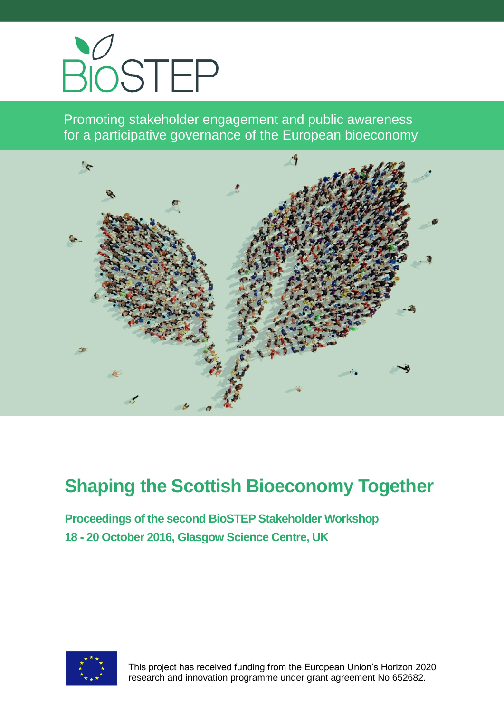

Promoting stakeholder engagement and public awareness for a participative governance of the European bioeconomy



# **Shaping the Scottish Bioeconomy Together**

**Proceedings of the second BioSTEP Stakeholder Workshop 18 - 20 October 2016, Glasgow Science Centre, UK**



 This project has received funding from the European Union's Horizon 2020 research and innovation programme under grant agreement No 652682.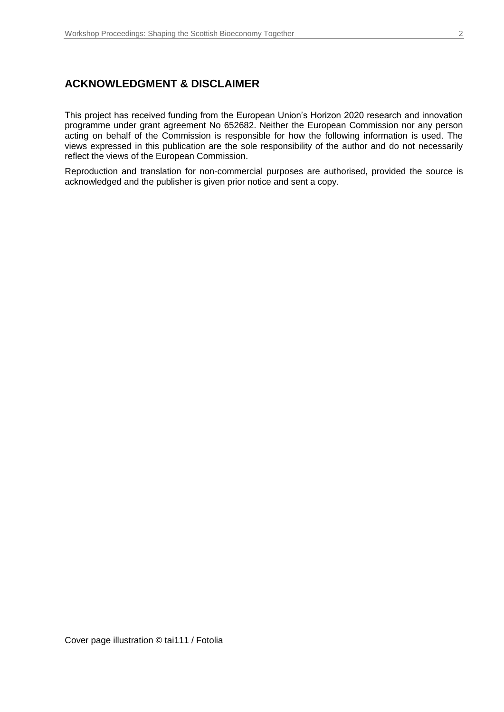#### **ACKNOWLEDGMENT & DISCLAIMER**

This project has received funding from the European Union's Horizon 2020 research and innovation programme under grant agreement No 652682. Neither the European Commission nor any person acting on behalf of the Commission is responsible for how the following information is used. The views expressed in this publication are the sole responsibility of the author and do not necessarily reflect the views of the European Commission.

Reproduction and translation for non-commercial purposes are authorised, provided the source is acknowledged and the publisher is given prior notice and sent a copy.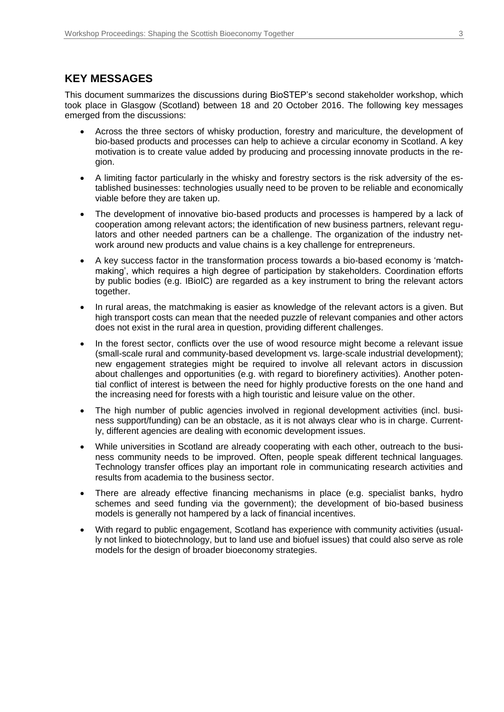#### **KEY MESSAGES**

This document summarizes the discussions during BioSTEP's second stakeholder workshop, which took place in Glasgow (Scotland) between 18 and 20 October 2016. The following key messages emerged from the discussions:

- Across the three sectors of whisky production, forestry and mariculture, the development of bio-based products and processes can help to achieve a circular economy in Scotland. A key motivation is to create value added by producing and processing innovate products in the region.
- A limiting factor particularly in the whisky and forestry sectors is the risk adversity of the established businesses: technologies usually need to be proven to be reliable and economically viable before they are taken up.
- The development of innovative bio-based products and processes is hampered by a lack of cooperation among relevant actors; the identification of new business partners, relevant regulators and other needed partners can be a challenge. The organization of the industry network around new products and value chains is a key challenge for entrepreneurs.
- A key success factor in the transformation process towards a bio-based economy is 'matchmaking', which requires a high degree of participation by stakeholders. Coordination efforts by public bodies (e.g. IBioIC) are regarded as a key instrument to bring the relevant actors together.
- In rural areas, the matchmaking is easier as knowledge of the relevant actors is a given. But high transport costs can mean that the needed puzzle of relevant companies and other actors does not exist in the rural area in question, providing different challenges.
- In the forest sector, conflicts over the use of wood resource might become a relevant issue (small-scale rural and community-based development vs. large-scale industrial development); new engagement strategies might be required to involve all relevant actors in discussion about challenges and opportunities (e.g. with regard to biorefinery activities). Another potential conflict of interest is between the need for highly productive forests on the one hand and the increasing need for forests with a high touristic and leisure value on the other.
- The high number of public agencies involved in regional development activities (incl. business support/funding) can be an obstacle, as it is not always clear who is in charge. Currently, different agencies are dealing with economic development issues.
- While universities in Scotland are already cooperating with each other, outreach to the business community needs to be improved. Often, people speak different technical languages. Technology transfer offices play an important role in communicating research activities and results from academia to the business sector.
- There are already effective financing mechanisms in place (e.g. specialist banks, hydro schemes and seed funding via the government); the development of bio-based business models is generally not hampered by a lack of financial incentives.
- With regard to public engagement, Scotland has experience with community activities (usually not linked to biotechnology, but to land use and biofuel issues) that could also serve as role models for the design of broader bioeconomy strategies.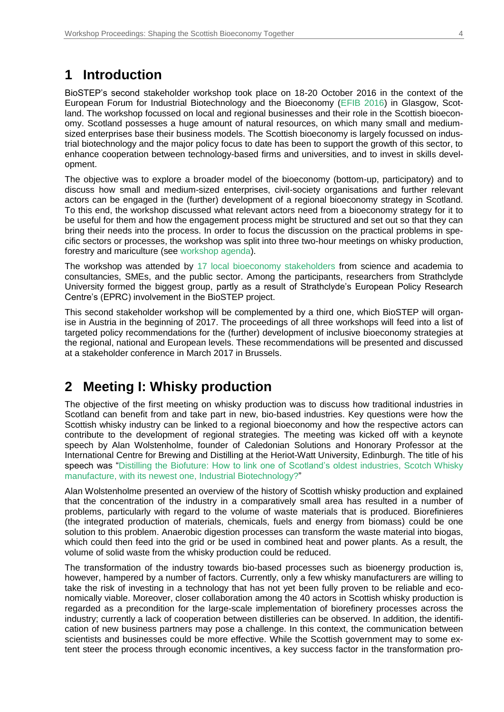### **1 Introduction**

BioSTEP's second stakeholder workshop took place on 18-20 October 2016 in the context of the European Forum for Industrial Biotechnology and the Bioeconomy [\(EFIB 2016\)](https://www.efibforum.com/) in Glasgow, Scotland. The workshop focussed on local and regional businesses and their role in the Scottish bioeconomy. Scotland possesses a huge amount of natural resources, on which many small and mediumsized enterprises base their business models. The Scottish bioeconomy is largely focussed on industrial biotechnology and the major policy focus to date has been to support the growth of this sector, to enhance cooperation between technology-based firms and universities, and to invest in skills development.

The objective was to explore a broader model of the bioeconomy (bottom-up, participatory) and to discuss how small and medium-sized enterprises, civil-society organisations and further relevant actors can be engaged in the (further) development of a regional bioeconomy strategy in Scotland. To this end, the workshop discussed what relevant actors need from a bioeconomy strategy for it to be useful for them and how the engagement process might be structured and set out so that they can bring their needs into the process. In order to focus the discussion on the practical problems in specific sectors or processes, the workshop was split into three two-hour meetings on whisky production, forestry and mariculture (see [workshop agenda\)](https://www.bio-step.eu/fileadmin/BioSTEP/Bio_documents/Final_agenda_Glasgow.pdf).

The workshop was attended by [17 local bioeconomy stakeholders](https://www.bio-step.eu/fileadmin/BioSTEP/Bio_documents/BioSTEP_Policy_Workshop_Glasgow_Participants.pdf) from science and academia to consultancies, SMEs, and the public sector. Among the participants, researchers from Strathclyde University formed the biggest group, partly as a result of Strathclyde's European Policy Research Centre's (EPRC) involvement in the BioSTEP project.

This second stakeholder workshop will be complemented by a third one, which BioSTEP will organise in Austria in the beginning of 2017. The proceedings of all three workshops will feed into a list of targeted policy recommendations for the (further) development of inclusive bioeconomy strategies at the regional, national and European levels. These recommendations will be presented and discussed at a stakeholder conference in March 2017 in Brussels.

## **2 Meeting I: Whisky production**

The objective of the first meeting on whisky production was to discuss how traditional industries in Scotland can benefit from and take part in new, bio-based industries. Key questions were how the Scottish whisky industry can be linked to a regional bioeconomy and how the respective actors can contribute to the development of regional strategies. The meeting was kicked off with a keynote speech by Alan Wolstenholme, founder of Caledonian Solutions and Honorary Professor at the International Centre for Brewing and Distilling at the Heriot-Watt University, Edinburgh. The title of his speech was "Distilling the Biofuture: How to link one of Scotland's oldest industries, Scotch Whisky [manufacture, with its newest one, Industrial Biotechnology?"](https://www.bio-step.eu/fileadmin/BioSTEP/Bio_documents/Meeting_I_Whisky_Production_Wolstenholme.pdf)

Alan Wolstenholme presented an overview of the history of Scottish whisky production and explained that the concentration of the industry in a comparatively small area has resulted in a number of problems, particularly with regard to the volume of waste materials that is produced. Biorefinieres (the integrated production of materials, chemicals, fuels and energy from biomass) could be one solution to this problem. Anaerobic digestion processes can transform the waste material into biogas, which could then feed into the grid or be used in combined heat and power plants. As a result, the volume of solid waste from the whisky production could be reduced.

The transformation of the industry towards bio-based processes such as bioenergy production is, however, hampered by a number of factors. Currently, only a few whisky manufacturers are willing to take the risk of investing in a technology that has not yet been fully proven to be reliable and economically viable. Moreover, closer collaboration among the 40 actors in Scottish whisky production is regarded as a precondition for the large-scale implementation of biorefinery processes across the industry; currently a lack of cooperation between distilleries can be observed. In addition, the identification of new business partners may pose a challenge. In this context, the communication between scientists and businesses could be more effective. While the Scottish government may to some extent steer the process through economic incentives, a key success factor in the transformation pro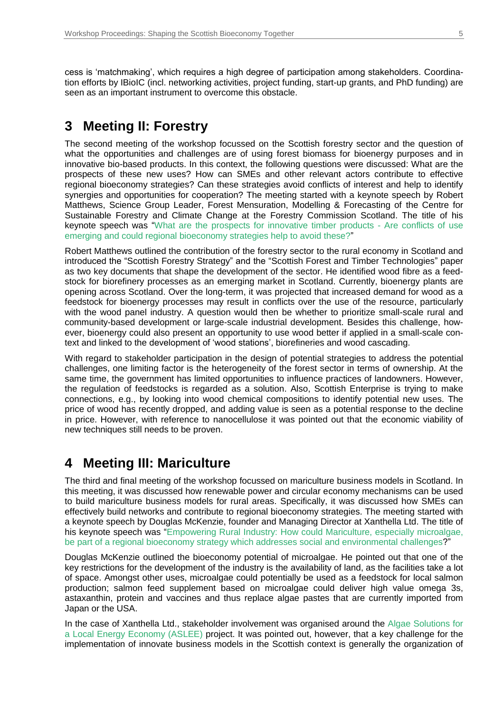cess is 'matchmaking', which requires a high degree of participation among stakeholders. Coordination efforts by IBioIC (incl. networking activities, project funding, start-up grants, and PhD funding) are seen as an important instrument to overcome this obstacle.

## **3 Meeting II: Forestry**

The second meeting of the workshop focussed on the Scottish forestry sector and the question of what the opportunities and challenges are of using forest biomass for bioenergy purposes and in innovative bio-based products. In this context, the following questions were discussed: What are the prospects of these new uses? How can SMEs and other relevant actors contribute to effective regional bioeconomy strategies? Can these strategies avoid conflicts of interest and help to identify synergies and opportunities for cooperation? The meeting started with a keynote speech by Robert Matthews, Science Group Leader, Forest Mensuration, Modelling & Forecasting of the Centre for Sustainable Forestry and Climate Change at the Forestry Commission Scotland. The title of his keynote speech was "What are the prospects [for innovative timber products -](https://www.bio-step.eu/fileadmin/BioSTEP/Bio_documents/Meeting_II_Forestry_Matthews.pdf) Are conflicts of use [emerging and could regional bioeconomy strategies help to avoid these?"](https://www.bio-step.eu/fileadmin/BioSTEP/Bio_documents/Meeting_II_Forestry_Matthews.pdf)

Robert Matthews outlined the contribution of the forestry sector to the rural economy in Scotland and introduced the "Scottish Forestry Strategy" and the "Scottish Forest and Timber Technologies" paper as two key documents that shape the development of the sector. He identified wood fibre as a feedstock for biorefinery processes as an emerging market in Scotland. Currently, bioenergy plants are opening across Scotland. Over the long-term, it was projected that increased demand for wood as a feedstock for bioenergy processes may result in conflicts over the use of the resource, particularly with the wood panel industry. A question would then be whether to prioritize small-scale rural and community-based development or large-scale industrial development. Besides this challenge, however, bioenergy could also present an opportunity to use wood better if applied in a small-scale context and linked to the development of 'wood stations', biorefineries and wood cascading.

With regard to stakeholder participation in the design of potential strategies to address the potential challenges, one limiting factor is the heterogeneity of the forest sector in terms of ownership. At the same time, the government has limited opportunities to influence practices of landowners. However, the regulation of feedstocks is regarded as a solution. Also, Scottish Enterprise is trying to make connections, e.g., by looking into wood chemical compositions to identify potential new uses. The price of wood has recently dropped, and adding value is seen as a potential response to the decline in price. However, with reference to nanocellulose it was pointed out that the economic viability of new techniques still needs to be proven.

#### **4 Meeting III: Mariculture**

The third and final meeting of the workshop focussed on mariculture business models in Scotland. In this meeting, it was discussed how renewable power and circular economy mechanisms can be used to build mariculture business models for rural areas. Specifically, it was discussed how SMEs can effectively build networks and contribute to regional bioeconomy strategies. The meeting started with a keynote speech by Douglas McKenzie, founder and Managing Director at Xanthella Ltd. The title of his keynote speech was ["Empowering Rural Industry: How could Mariculture, especially microalgae,](https://www.bio-step.eu/fileadmin/BioSTEP/Bio_documents/Meeting_III_Mariculture_McKenzie.pdf)  [be part of a regional bioeconomy strategy which addresses social and environmental challenges?](https://www.bio-step.eu/fileadmin/BioSTEP/Bio_documents/Meeting_III_Mariculture_McKenzie.pdf)"

Douglas McKenzie outlined the bioeconomy potential of microalgae. He pointed out that one of the key restrictions for the development of the industry is the availability of land, as the facilities take a lot of space. Amongst other uses, microalgae could potentially be used as a feedstock for local salmon production; salmon feed supplement based on microalgae could deliver high value omega 3s, astaxanthin, protein and vaccines and thus replace algae pastes that are currently imported from Japan or the USA.

In the case of Xanthella Ltd., stakeholder involvement was organised around the [Algae Solutions for](https://aslee.scot/)  [a Local Energy Economy \(ASLEE\)](https://aslee.scot/) project. It was pointed out, however, that a key challenge for the implementation of innovate business models in the Scottish context is generally the organization of